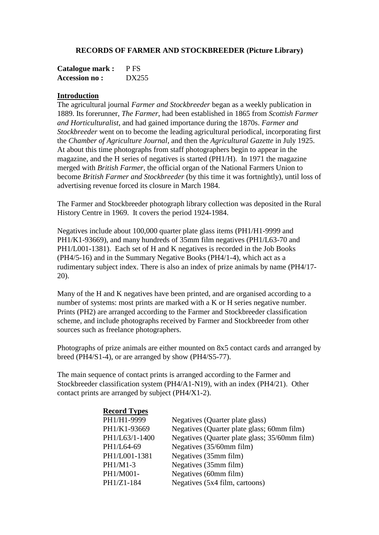### **RECORDS OF FARMER AND STOCKBREEDER (Picture Library)**

| <b>Catalogue mark:</b> | P FS  |
|------------------------|-------|
| <b>Accession no:</b>   | DX255 |

### **Introduction**

The agricultural journal *Farmer and Stockbreeder* began as a weekly publication in 1889. Its forerunner, *The Farmer*, had been established in 1865 from *Scottish Farmer and Horticulturalist*, and had gained importance during the 1870s. *Farmer and Stockbreeder* went on to become the leading agricultural periodical, incorporating first the *Chamber of Agriculture Journal*, and then the *Agricultural Gazette* in July 1925. At about this time photographs from staff photographers begin to appear in the magazine, and the H series of negatives is started (PH1/H). In 1971 the magazine merged with *British Farmer*, the official organ of the National Farmers Union to become *British Farmer and Stockbreeder* (by this time it was fortnightly), until loss of advertising revenue forced its closure in March 1984.

The Farmer and Stockbreeder photograph library collection was deposited in the Rural History Centre in 1969. It covers the period 1924-1984.

Negatives include about 100,000 quarter plate glass items (PH1/H1-9999 and PH1/K1-93669), and many hundreds of 35mm film negatives (PH1/L63-70 and PH1/L001-1381). Each set of H and K negatives is recorded in the Job Books (PH4/5-16) and in the Summary Negative Books (PH4/1-4), which act as a rudimentary subject index. There is also an index of prize animals by name (PH4/17- 20).

Many of the H and K negatives have been printed, and are organised according to a number of systems: most prints are marked with a K or H series negative number. Prints (PH2) are arranged according to the Farmer and Stockbreeder classification scheme, and include photographs received by Farmer and Stockbreeder from other sources such as freelance photographers.

Photographs of prize animals are either mounted on 8x5 contact cards and arranged by breed (PH4/S1-4), or are arranged by show (PH4/S5-77).

The main sequence of contact prints is arranged according to the Farmer and Stockbreeder classification system (PH4/A1-N19), with an index (PH4/21). Other contact prints are arranged by subject (PH4/X1-2).

| <b>Record Types</b> |                                               |
|---------------------|-----------------------------------------------|
| PH1/H1-9999         | Negatives (Quarter plate glass)               |
| PH1/K1-93669        | Negatives (Quarter plate glass; 60mm film)    |
| PH1/L63/1-1400      | Negatives (Quarter plate glass; 35/60mm film) |
| PH1/L64-69          | Negatives (35/60mm film)                      |
| PH1/L001-1381       | Negatives (35mm film)                         |
| PH1/M1-3            | Negatives (35mm film)                         |
| PH1/M001-           | Negatives (60mm film)                         |
| PH1/Z1-184          | Negatives (5x4 film, cartoons)                |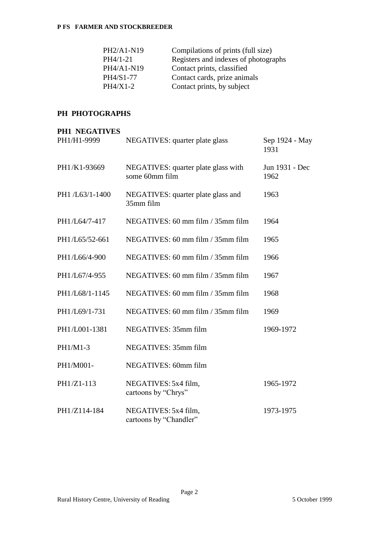| PH2/A1-N19 | Compilations of prints (full size)   |
|------------|--------------------------------------|
| PH4/1-21   | Registers and indexes of photographs |
| PH4/A1-N19 | Contact prints, classified           |
| PH4/S1-77  | Contact cards, prize animals         |
| $PH4/X1-2$ | Contact prints, by subject           |

# **PH PHOTOGRAPHS**

| <b>PH1 NEGATIVES</b> |                                                       |                        |
|----------------------|-------------------------------------------------------|------------------------|
| PH1/H1-9999          | NEGATIVES: quarter plate glass                        | Sep 1924 - May<br>1931 |
| PH1/K1-93669         | NEGATIVES: quarter plate glass with<br>some 60mm film | Jun 1931 - Dec<br>1962 |
| PH1 /L63/1-1400      | NEGATIVES: quarter plate glass and<br>35mm film       | 1963                   |
| PH1/L64/7-417        | NEGATIVES: 60 mm film / 35mm film                     | 1964                   |
| PH1/L65/52-661       | NEGATIVES: 60 mm film / 35mm film                     | 1965                   |
| PH1/L66/4-900        | NEGATIVES: 60 mm film / 35mm film                     | 1966                   |
| PH1/L67/4-955        | NEGATIVES: 60 mm film / 35mm film                     | 1967                   |
| PH1/L68/1-1145       | NEGATIVES: 60 mm film / 35mm film                     | 1968                   |
| PH1/L69/1-731        | NEGATIVES: 60 mm film / 35mm film                     | 1969                   |
| PH1/L001-1381        | NEGATIVES: 35mm film                                  | 1969-1972              |
| PH1/M1-3             | NEGATIVES: 35mm film                                  |                        |
| PH1/M001-            | NEGATIVES: 60mm film                                  |                        |
| PH1/Z1-113           | NEGATIVES: 5x4 film,<br>cartoons by "Chrys"           | 1965-1972              |
| PH1/Z114-184         | NEGATIVES: 5x4 film,<br>cartoons by "Chandler"        | 1973-1975              |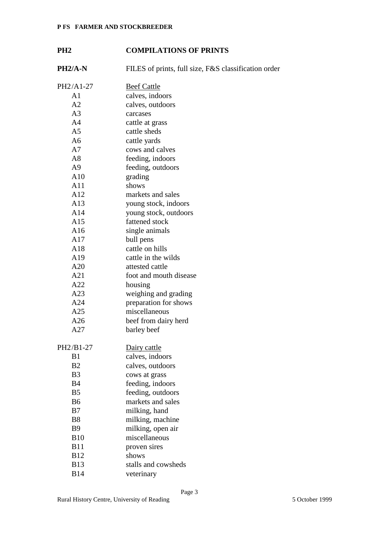# **PH2 COMPILATIONS OF PRINTS**

| $PH2/A-N$      | FILES of prints, full size, F&S classification order |
|----------------|------------------------------------------------------|
| PH2/A1-27      | <b>Beef Cattle</b>                                   |
| A <sub>1</sub> | calves, indoors                                      |
| A2             | calves, outdoors                                     |
| A <sub>3</sub> | carcases                                             |
| A <sub>4</sub> | cattle at grass                                      |
| A <sub>5</sub> | cattle sheds                                         |
| A <sub>6</sub> | cattle yards                                         |
| A7             | cows and calves                                      |
| A8             | feeding, indoors                                     |
| A <sub>9</sub> | feeding, outdoors                                    |
| A10            | grading                                              |
| A11            | shows                                                |
| A12            | markets and sales                                    |
| A13            | young stock, indoors                                 |
| A14            | young stock, outdoors                                |
| A15            | fattened stock                                       |
| A16            | single animals                                       |
| A17            | bull pens                                            |
| A18            | cattle on hills                                      |
| A19            | cattle in the wilds                                  |
| A20            | attested cattle                                      |
| A21            | foot and mouth disease                               |
| A22            | housing                                              |
| A23            | weighing and grading                                 |
| A24            | preparation for shows                                |
| A25            | miscellaneous                                        |
| A26            | beef from dairy herd                                 |
| A27            | barley beef                                          |
| PH2/B1-27      | Dairy cattle                                         |
| B1             | calves, indoors                                      |
| B2             | calves, outdoors                                     |
| B <sub>3</sub> | cows at grass                                        |
| <b>B4</b>      | feeding, indoors                                     |
| B <sub>5</sub> | feeding, outdoors                                    |
| B <sub>6</sub> | markets and sales                                    |
| B7             | milking, hand                                        |
| <b>B8</b>      | milking, machine                                     |
| <b>B9</b>      | milking, open air                                    |
| <b>B10</b>     | miscellaneous                                        |
| <b>B11</b>     | proven sires                                         |
| <b>B12</b>     | shows                                                |
| <b>B13</b>     | stalls and cowsheds                                  |
| <b>B14</b>     | veterinary                                           |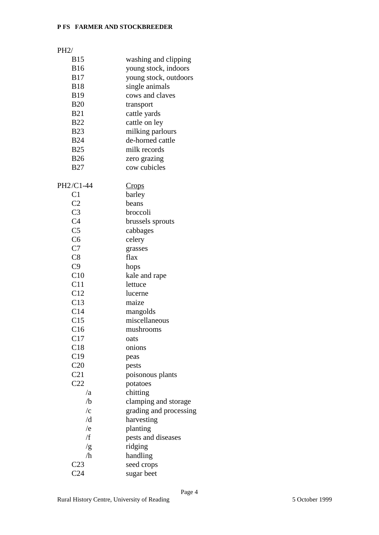# PH2/

| <b>B15</b>          | washing and clipping   |
|---------------------|------------------------|
| <b>B16</b>          | young stock, indoors   |
| <b>B17</b>          | young stock, outdoors  |
| <b>B18</b>          | single animals         |
| <b>B19</b>          | cows and claves        |
| <b>B20</b>          | transport              |
| <b>B21</b>          | cattle yards           |
| <b>B22</b>          | cattle on ley          |
| <b>B23</b>          | milking parlours       |
| <b>B24</b>          | de-horned cattle       |
| <b>B25</b>          | milk records           |
| <b>B26</b>          | zero grazing           |
| <b>B27</b>          | cow cubicles           |
|                     |                        |
| PH2/C1-44           | <u>Crops</u>           |
| C1                  | barley                 |
| C <sub>2</sub>      | beans                  |
| C <sub>3</sub>      | broccoli               |
| C <sub>4</sub>      | brussels sprouts       |
| C <sub>5</sub>      | cabbages               |
| C <sub>6</sub>      | celery                 |
| C7                  | grasses                |
| C8                  | flax                   |
| C9                  | hops                   |
| C10                 | kale and rape          |
| C11                 | lettuce                |
| C12                 | lucerne                |
| C13                 | maize                  |
| C14                 | mangolds               |
| C15                 | miscellaneous          |
| C16                 | mushrooms              |
| C17                 | oats                   |
| C18                 | onions                 |
| C19                 | peas                   |
| C20                 | pests                  |
| C <sub>21</sub>     | poisonous plants       |
| C22                 | potatoes               |
| /a                  | chitting               |
| /b                  | clamping and storage   |
| $\sqrt{\mathrm{c}}$ |                        |
| /d                  | grading and processing |
|                     | harvesting             |
| /e<br>/f            | planting               |
|                     | pests and diseases     |
| /g                  | ridging                |
| /h                  | handling               |
| C <sub>23</sub>     | seed crops             |
| C <sub>24</sub>     | sugar beet             |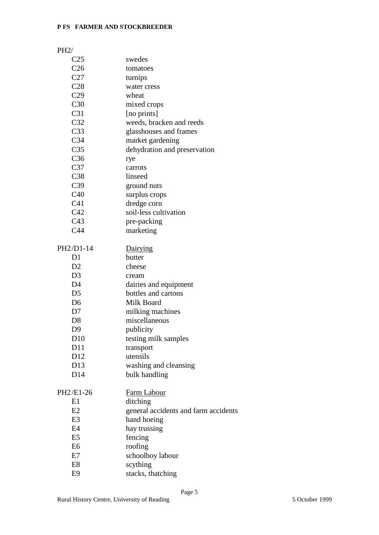# PH2/

| C <sub>25</sub> | swedes                               |
|-----------------|--------------------------------------|
| C <sub>26</sub> | tomatoes                             |
| C27             | turnips                              |
| C28             | water cress                          |
| C29             | wheat                                |
| C30             | mixed crops                          |
| C31             | [no prints]                          |
| C32             | weeds, bracken and reeds             |
| C <sub>33</sub> | glasshouses and frames               |
| C <sub>34</sub> | market gardening                     |
| C <sub>35</sub> | dehydration and preservation         |
| C <sub>36</sub> | rye                                  |
| C <sub>37</sub> | carrots                              |
| C <sub>38</sub> | linseed                              |
| C <sub>39</sub> | ground nuts                          |
| C40             | surplus crops                        |
| C <sub>41</sub> | dredge corn                          |
| C42             | soil-less cultivation                |
| C <sub>43</sub> | pre-packing                          |
| C44             | marketing                            |
| PH2/D1-14       | <b>Dairying</b>                      |
| D <sub>1</sub>  | butter                               |
| D2              | cheese                               |
| D <sub>3</sub>  | cream                                |
| D <sub>4</sub>  | dairies and equipment                |
| D <sub>5</sub>  | bottles and cartons                  |
| D <sub>6</sub>  | Milk Board                           |
| D7              | milking machines                     |
| D <sub>8</sub>  | miscellaneous                        |
| D <sub>9</sub>  | publicity                            |
| D10             | testing milk samples                 |
| D11             | transport                            |
| D12             | utensils                             |
| D13             | washing and cleansing                |
| D14             | bulk handling                        |
| PH2/E1-26       | Farm Labour                          |
| E1              | ditching                             |
| E2              | general accidents and farm accidents |
| E <sub>3</sub>  | hand hoeing                          |
| E4              | hay trussing                         |
| E <sub>5</sub>  | fencing                              |
| E <sub>6</sub>  | roofing                              |
| E7              | schoolboy labour                     |
| E8              | scything                             |
| E9              | stacks, thatching                    |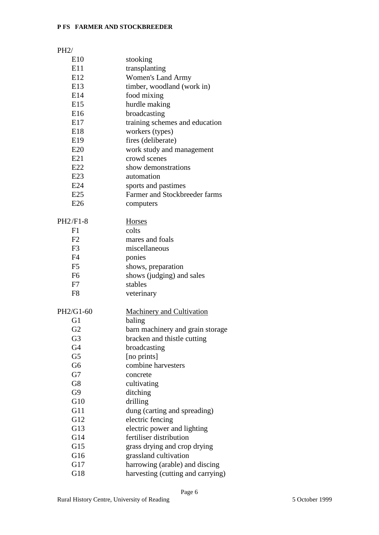# PH2/

| E10            | stooking                          |
|----------------|-----------------------------------|
| E11            | transplanting                     |
| E12            | <b>Women's Land Army</b>          |
| E13            | timber, woodland (work in)        |
| E14            | food mixing                       |
| E15            | hurdle making                     |
| E16            | broadcasting                      |
| E17            | training schemes and education    |
| E18            | workers (types)                   |
| E19            | fires (deliberate)                |
| E20            | work study and management         |
| E21            | crowd scenes                      |
| E22            | show demonstrations               |
| E23            | automation                        |
| E24            | sports and pastimes               |
| E25            | Farmer and Stockbreeder farms     |
| E26            | computers                         |
|                |                                   |
| PH2/F1-8       | Horses                            |
| F1             | colts                             |
| F <sub>2</sub> | mares and foals                   |
| F <sub>3</sub> | miscellaneous                     |
| F <sub>4</sub> | ponies                            |
| F <sub>5</sub> | shows, preparation                |
| F <sub>6</sub> | shows (judging) and sales         |
| F7             | stables                           |
| F <sub>8</sub> | veterinary                        |
|                |                                   |
| PH2/G1-60      | <b>Machinery and Cultivation</b>  |
| G1             | baling                            |
| G2             | barn machinery and grain storage  |
| G3             | bracken and thistle cutting       |
| G <sub>4</sub> | broadcasting                      |
| G <sub>5</sub> | [no prints]                       |
| G <sub>6</sub> | combine harvesters                |
| G7             | concrete                          |
| G8             | cultivating                       |
| G <sub>9</sub> | ditching                          |
| G10            | drilling                          |
| G11            | dung (carting and spreading)      |
| G12            | electric fencing                  |
| G13            | electric power and lighting       |
| G14            | fertiliser distribution           |
| G15            | grass drying and crop drying      |
| G16            | grassland cultivation             |
| G17            | harrowing (arable) and discing    |
| G18            | harvesting (cutting and carrying) |
|                |                                   |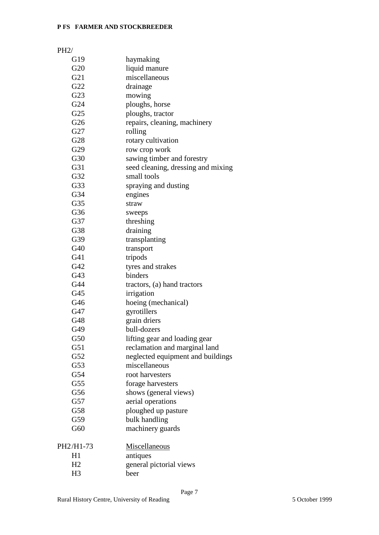| PH2/            |                  |
|-----------------|------------------|
| G19             | haymaking        |
| G20             | liquid manure    |
| G21             | miscellaneous    |
| G22             | drainage         |
| G23             | mowing           |
| G24             | ploughs, horse   |
| G <sub>25</sub> | ploughs, tracto  |
| G <sub>26</sub> | repairs, cleani  |
| G27             | rolling          |
| G28             | rotary cultivati |
| G29             | row crop work    |
| G30             | sawing timber    |
| G31             | seed cleaning,   |
| G32             | emall toole      |

| G21             | miscellaneous                      |
|-----------------|------------------------------------|
| G22             | drainage                           |
| G23             | mowing                             |
| G24             | ploughs, horse                     |
| G25             | ploughs, tractor                   |
| G26             | repairs, cleaning, machinery       |
| G27             | rolling                            |
| G28             | rotary cultivation                 |
| G29             | row crop work                      |
| G30             | sawing timber and forestry         |
| G31             | seed cleaning, dressing and mixing |
| G32             | small tools                        |
| G33             | spraying and dusting               |
| G34             | engines                            |
| G35             | straw                              |
| G36             | sweeps                             |
| G37             | threshing                          |
| G38             | draining                           |
| G39             | transplanting                      |
| G40             | transport                          |
| G41             | tripods                            |
| G42             | tyres and strakes                  |
| G43             | binders                            |
| G44             | tractors, (a) hand tractors        |
| G45             | irrigation                         |
| G46             | hoeing (mechanical)                |
| G47             | gyrotillers                        |
| G48             | grain driers                       |
| G49             | bull-dozers                        |
| G50             | lifting gear and loading gear      |
| G51             | reclamation and marginal land      |
| G52             | neglected equipment and buildings  |
| G53             | miscellaneous                      |
| G54             | root harvesters                    |
| G <sub>55</sub> | forage harvesters                  |
| G56             | shows (general views)              |
| G57             | aerial operations                  |
| G58             | ploughed up pasture                |
| G59             | bulk handling                      |
| G60             | machinery guards                   |
| PH2/H1-73       | Miscellaneous                      |
| H1              | antiques                           |

| H2 | general pictorial views |
|----|-------------------------|
| H3 | heer                    |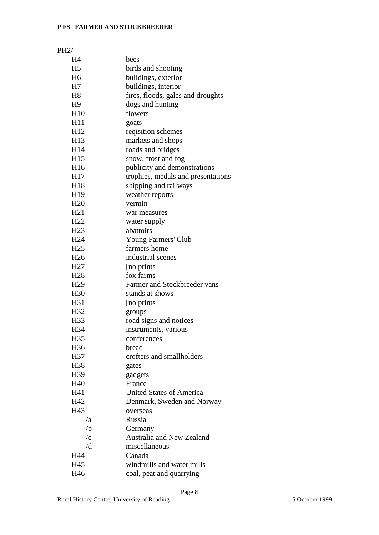# PH2/

| H4              | bees                               |
|-----------------|------------------------------------|
| H <sub>5</sub>  | birds and shooting                 |
| H <sub>6</sub>  | buildings, exterior                |
| H7              | buildings, interior                |
| H <sub>8</sub>  | fires, floods, gales and droughts  |
| H <sub>9</sub>  | dogs and hunting                   |
| H10             | flowers                            |
| H <sub>11</sub> | goats                              |
| H <sub>12</sub> | reqisition schemes                 |
| H13             | markets and shops                  |
| H <sub>14</sub> | roads and bridges                  |
| H15             | snow, frost and fog                |
| H <sub>16</sub> | publicity and demonstrations       |
| H17             | trophies, medals and presentations |
| H18             | shipping and railways              |
| H <sub>19</sub> | weather reports                    |
| H <sub>20</sub> | vermin                             |
| H21             | war measures                       |
| H <sub>22</sub> | water supply                       |
| H <sub>23</sub> | abattoirs                          |
| H <sub>24</sub> | Young Farmers' Club                |
| H <sub>25</sub> | farmers home                       |
| H <sub>26</sub> | industrial scenes                  |
| H <sub>27</sub> | [no prints]                        |
| H <sub>28</sub> | fox farms                          |
| H <sub>29</sub> | Farmer and Stockbreeder vans       |
| H <sub>30</sub> | stands at shows                    |
| H31             | [no prints]                        |
| H32             | groups                             |
| H <sub>33</sub> | road signs and notices             |
| H34             | instruments, various               |
| H35             | conferences                        |
| H <sub>36</sub> | bread                              |
| H37             | crofters and smallholders          |
| H <sub>38</sub> | gates                              |
| H39             | gadgets                            |
| H40             | France                             |
| H41             | <b>United States of America</b>    |
| H42             | Denmark, Sweden and Norway         |
| H43             | overseas                           |
| /a              | Russia                             |
| /b              | Germany                            |
| $\sqrt{c}$      | Australia and New Zealand          |
| /d              | miscellaneous                      |
| H44             | Canada                             |
| H45             | windmills and water mills          |
| H46             | coal, peat and quarrying           |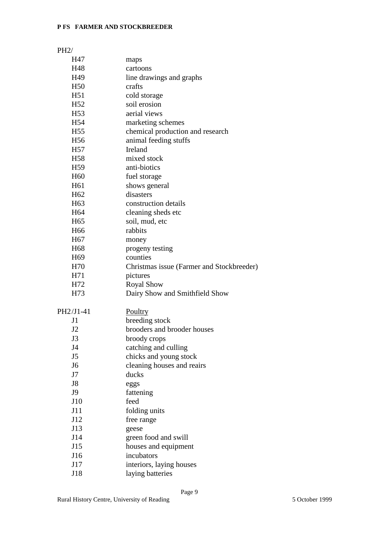# PH2/

| H47             | maps                                      |
|-----------------|-------------------------------------------|
| H48             | cartoons                                  |
| H49             | line drawings and graphs                  |
| H <sub>50</sub> | crafts                                    |
| H51             | cold storage                              |
| H <sub>52</sub> | soil erosion                              |
| H <sub>53</sub> | aerial views                              |
| H <sub>54</sub> | marketing schemes                         |
| H <sub>55</sub> | chemical production and research          |
| H <sub>56</sub> | animal feeding stuffs                     |
| H <sub>57</sub> | Ireland                                   |
| H <sub>58</sub> | mixed stock                               |
| H <sub>59</sub> | anti-biotics                              |
| H <sub>60</sub> | fuel storage                              |
| H <sub>61</sub> | shows general                             |
| H <sub>62</sub> | disasters                                 |
| H <sub>63</sub> | construction details                      |
| H <sub>64</sub> | cleaning sheds etc                        |
| H <sub>65</sub> | soil, mud, etc                            |
| H <sub>66</sub> | rabbits                                   |
| H <sub>67</sub> | money                                     |
| H <sub>68</sub> | progeny testing                           |
| H <sub>69</sub> | counties                                  |
| H70             | Christmas issue (Farmer and Stockbreeder) |
| H71             | pictures                                  |
| H72             | <b>Royal Show</b>                         |
| H73             | Dairy Show and Smithfield Show            |
| PH2/J1-41       | Poultry                                   |
| J <sub>1</sub>  | breeding stock                            |
| J2              | brooders and brooder houses               |
| J3              | broody crops                              |
| J4              | catching and culling                      |
| J <sub>5</sub>  | chicks and young stock                    |
| J <sub>6</sub>  | cleaning houses and reairs                |
| J7              | ducks                                     |
| J8              | eggs                                      |
| J9              | fattening                                 |
| J10             | feed                                      |
| J11             | folding units                             |
| J12             | free range                                |
| J13             | geese                                     |
| J14             | green food and swill                      |
| J15             | houses and equipment                      |
| J16             | incubators                                |
| J17             | interiors, laying houses                  |
| J18             | laying batteries                          |
|                 |                                           |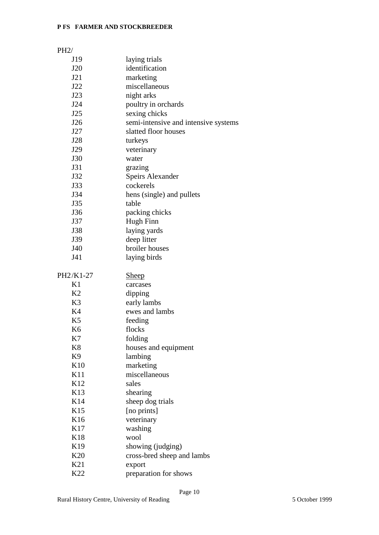| PH2/                  |                                      |
|-----------------------|--------------------------------------|
| J19                   | laying trials                        |
| J20                   | identification                       |
| J21                   | marketing                            |
| J22                   | miscellaneous                        |
| J23                   | night arks                           |
| J24                   | poultry in orchards                  |
| J25                   | sexing chicks                        |
| J26                   | semi-intensive and intensive systems |
| J27                   | slatted floor houses                 |
| J28                   | turkeys                              |
| J29                   | veterinary                           |
| J30                   | water                                |
| J31                   | grazing                              |
| J32                   | <b>Speirs Alexander</b>              |
| J33                   | cockerels                            |
| J34                   | hens (single) and pullets            |
| J35                   | table                                |
| J36                   | packing chicks                       |
| J37                   | Hugh Finn                            |
| J38                   | laying yards                         |
| J39                   | deep litter                          |
| J40                   | broiler houses                       |
| J41                   | laying birds                         |
|                       |                                      |
| PH2/K1-27             | <b>Sheep</b>                         |
| K1<br>K2              | carcases                             |
|                       | dipping                              |
| K <sub>3</sub>        | early lambs<br>ewes and lambs        |
| K4<br>K <sub>5</sub>  |                                      |
|                       | feeding                              |
| K <sub>6</sub>        | flocks                               |
| K7                    | folding                              |
| K <sup>8</sup>        | houses and equipment                 |
| K <sub>9</sub><br>K10 | lambing                              |
|                       | marketing<br>miscellaneous           |
| K11                   |                                      |
| K <sub>12</sub>       | sales                                |
| K13                   | shearing                             |
| K14                   | sheep dog trials                     |
| K15                   | [no prints]                          |
| K16                   | veterinary                           |
| K17                   | washing                              |
| K18                   | wool                                 |
| K19                   | showing (judging)                    |
| K <sub>20</sub>       | cross-bred sheep and lambs           |
| K21                   | export                               |
| K22                   | preparation for shows                |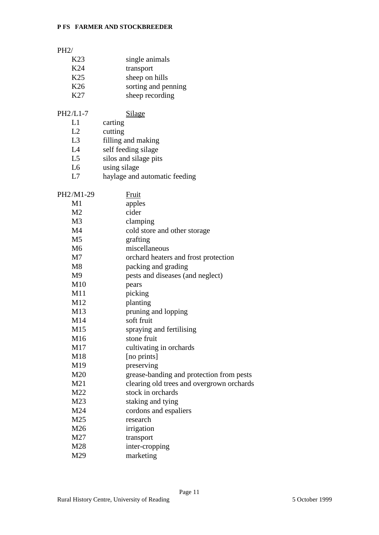| PH2/            |                                           |
|-----------------|-------------------------------------------|
| K <sub>23</sub> | single animals                            |
| K24             | transport                                 |
| K <sub>25</sub> | sheep on hills                            |
| K <sub>26</sub> | sorting and penning                       |
| K27             |                                           |
|                 | sheep recording                           |
| PH2/L1-7        | <b>Silage</b>                             |
| L1              | carting                                   |
| L2              | cutting                                   |
| L3              | filling and making                        |
| L4              | self feeding silage                       |
| L5              | silos and silage pits                     |
| L6              | using silage                              |
| L7              | haylage and automatic feeding             |
|                 |                                           |
| PH2/M1-29       | <b>Fruit</b>                              |
| M1              | apples                                    |
| M <sub>2</sub>  | cider                                     |
| M <sub>3</sub>  | clamping                                  |
| M <sub>4</sub>  | cold store and other storage              |
| M <sub>5</sub>  | grafting                                  |
| M <sub>6</sub>  | miscellaneous                             |
| M <sub>7</sub>  | orchard heaters and frost protection      |
| M8              | packing and grading                       |
| M <sub>9</sub>  | pests and diseases (and neglect)          |
| M10             | pears                                     |
| M11             | picking                                   |
| M12             | planting                                  |
| M13             | pruning and lopping                       |
| M14             | soft fruit                                |
| M15             | spraying and fertilising                  |
| M16             | stone fruit                               |
| M17             | cultivating in orchards                   |
| M18             | [no prints]                               |
| M19             | preserving                                |
|                 |                                           |
| M20             | grease-banding and protection from pests  |
| M21             | clearing old trees and overgrown orchards |
| M22             | stock in orchards                         |
| M23             | staking and tying                         |
| M24             | cordons and espaliers                     |
| M25             | research                                  |
| M26             | irrigation                                |
| M27             | transport                                 |
| M28             | inter-cropping                            |
| M29             | marketing                                 |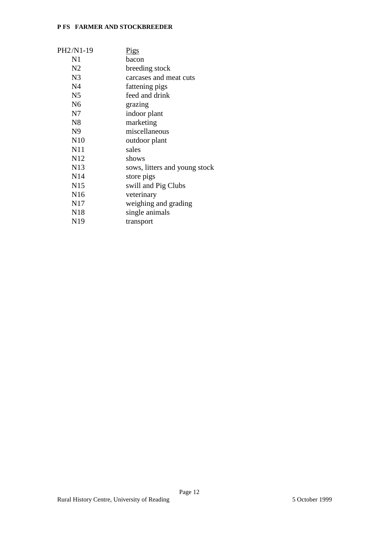| PH2/N1-19       | <u>Pigs</u>                   |
|-----------------|-------------------------------|
| N <sub>1</sub>  | bacon                         |
| N <sub>2</sub>  | breeding stock                |
| N <sub>3</sub>  | carcases and meat cuts        |
| N <sub>4</sub>  | fattening pigs                |
| N <sub>5</sub>  | feed and drink                |
| N <sub>6</sub>  | grazing                       |
| N7              | indoor plant                  |
| N8              | marketing                     |
| N <sub>9</sub>  | miscellaneous                 |
| N10             | outdoor plant                 |
| N11             | sales                         |
| N <sub>12</sub> | shows                         |
| N13             | sows, litters and young stock |
| N <sub>14</sub> | store pigs                    |
| N15             | swill and Pig Clubs           |
| N <sub>16</sub> | veterinary                    |
| N17             | weighing and grading          |
| N <sub>18</sub> | single animals                |
| N <sub>19</sub> | transport                     |
|                 |                               |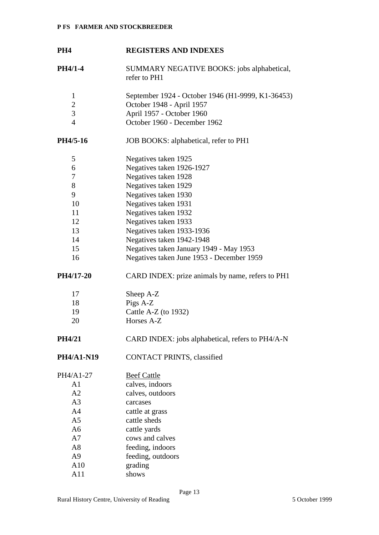# **PH4 REGISTERS AND INDEXES**

**PH4/1-4** SUMMARY NEGATIVE BOOKS: jobs alphabetical, refer to PH1

| $\mathbf{1}$          | September 1924 - October 1946 (H1-9999, K1-36453) |
|-----------------------|---------------------------------------------------|
| $\overline{2}$        | October 1948 - April 1957                         |
| 3                     | April 1957 - October 1960                         |
| $\overline{4}$        | October 1960 - December 1962                      |
| PH4/5-16              | JOB BOOKS: alphabetical, refer to PH1             |
| 5                     | Negatives taken 1925                              |
| 6                     | Negatives taken 1926-1927                         |
| 7                     | Negatives taken 1928                              |
| 8                     | Negatives taken 1929                              |
| 9                     | Negatives taken 1930                              |
| 10                    | Negatives taken 1931                              |
| 11                    | Negatives taken 1932                              |
| 12                    | Negatives taken 1933                              |
| 13                    | Negatives taken 1933-1936                         |
| 14                    | Negatives taken 1942-1948                         |
| 15                    | Negatives taken January 1949 - May 1953           |
| 16                    | Negatives taken June 1953 - December 1959         |
| PH4/17-20             | CARD INDEX: prize animals by name, refers to PH1  |
| 17                    | Sheep A-Z                                         |
| 18                    | Pigs A-Z                                          |
| 19                    | Cattle A-Z (to 1932)                              |
| 20                    | Horses A-Z                                        |
| PH4/21                | CARD INDEX: jobs alphabetical, refers to PH4/A-N  |
| PH4/A1-N19            | <b>CONTACT PRINTS, classified</b>                 |
| PH4/A1-27             | <b>Beef Cattle</b>                                |
| A1                    | calves, indoors                                   |
| A2                    | calves, outdoors                                  |
| A <sub>3</sub>        | carcases                                          |
| A4                    | cattle at grass                                   |
| A <sub>5</sub>        | cattle sheds                                      |
| A <sub>6</sub>        | cattle yards                                      |
| A7                    | cows and calves                                   |
| A8                    | feeding, indoors                                  |
| A <sub>9</sub>        | feeding, outdoors                                 |
| $\Lambda$ 1 $\Lambda$ |                                                   |

A10 grading A11 shows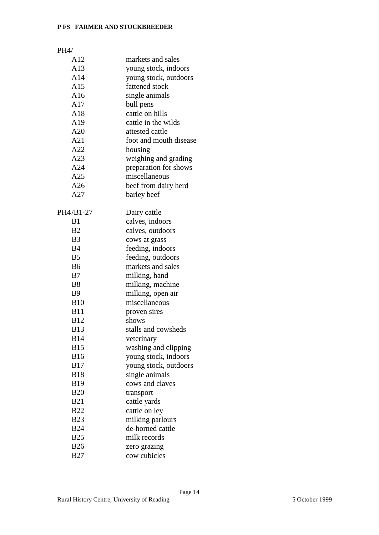# PH4/

| A12            | markets and sales      |
|----------------|------------------------|
| A13            | young stock, indoors   |
| A14            | young stock, outdoors  |
| A15            | fattened stock         |
| A16            | single animals         |
| A17            | bull pens              |
| A18            | cattle on hills        |
| A19            | cattle in the wilds    |
| A20            | attested cattle        |
| A21            | foot and mouth disease |
| A22            | housing                |
| A23            | weighing and grading   |
| A24            | preparation for shows  |
| A25            | miscellaneous          |
| A26            | beef from dairy herd   |
| A27            | barley beef            |
|                |                        |
| PH4/B1-27      | Dairy cattle           |
| B1             | calves, indoors        |
| <b>B2</b>      | calves, outdoors       |
| B <sub>3</sub> | cows at grass          |
| <b>B4</b>      | feeding, indoors       |
| B <sub>5</sub> | feeding, outdoors      |
| <b>B6</b>      | markets and sales      |
| B7             | milking, hand          |
| <b>B8</b>      | milking, machine       |
| B <sub>9</sub> | milking, open air      |
| <b>B10</b>     | miscellaneous          |
| <b>B11</b>     | proven sires           |
| <b>B12</b>     | shows                  |
| <b>B13</b>     | stalls and cowsheds    |
| <b>B14</b>     | veterinary             |
| <b>B15</b>     | washing and clipping   |
| <b>B16</b>     | young stock, indoors   |
| <b>B17</b>     | young stock, outdoors  |
| <b>B18</b>     | single animals         |
| <b>B19</b>     | cows and claves        |
| <b>B20</b>     | transport              |
| <b>B21</b>     | cattle yards           |
| <b>B22</b>     | cattle on ley          |
| <b>B23</b>     | milking parlours       |
| <b>B24</b>     | de-horned cattle       |
| <b>B25</b>     | milk records           |
| <b>B26</b>     | zero grazing           |
| <b>B27</b>     | cow cubicles           |
|                |                        |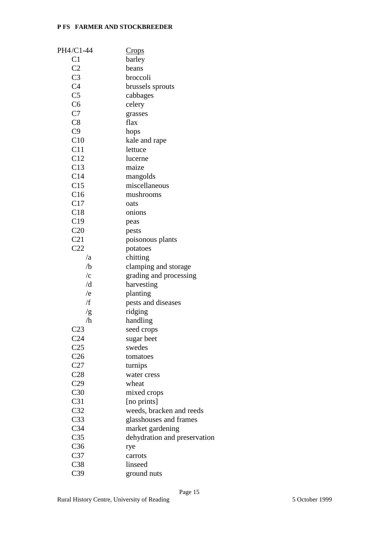| PH4/C1-44           | <b>Crops</b>                 |
|---------------------|------------------------------|
| C1                  | barley                       |
| C <sub>2</sub>      | beans                        |
| C <sub>3</sub>      | broccoli                     |
| C <sub>4</sub>      | brussels sprouts             |
| C <sub>5</sub>      | cabbages                     |
| C <sub>6</sub>      | celery                       |
| C7                  | grasses                      |
| C8                  | flax                         |
| C9                  | hops                         |
| C10                 | kale and rape                |
| C11                 | lettuce                      |
| C12                 | lucerne                      |
| C13                 | maize                        |
| C14                 | mangolds                     |
| C15                 | miscellaneous                |
| C16                 | mushrooms                    |
| C17                 | oats                         |
| C18                 | onions                       |
| C19                 | peas                         |
| C20                 | pests                        |
| C21                 | poisonous plants             |
| C22                 | potatoes                     |
| /a                  | chitting                     |
| /b                  | clamping and storage         |
| $\sqrt{\mathrm{c}}$ | grading and processing       |
| /d                  | harvesting                   |
| /e                  | planting                     |
| /f                  | pests and diseases           |
| /g                  | ridging                      |
| /h                  | handling                     |
| C <sub>23</sub>     | seed crops                   |
| C <sub>24</sub>     | sugar beet                   |
| C <sub>25</sub>     | swedes                       |
| C <sub>26</sub>     | tomatoes                     |
| C27                 | turnips                      |
| C28                 | water cress                  |
| C29                 | wheat                        |
| C30                 | mixed crops                  |
| C <sub>31</sub>     | [no prints]                  |
| C <sub>32</sub>     | weeds, bracken and reeds     |
| C <sub>33</sub>     | glasshouses and frames       |
| C <sub>34</sub>     | market gardening             |
| C <sub>35</sub>     | dehydration and preservation |
| C <sub>36</sub>     | rye                          |
| C <sub>37</sub>     | carrots                      |
| C38                 | linseed                      |
| C <sub>39</sub>     | ground nuts                  |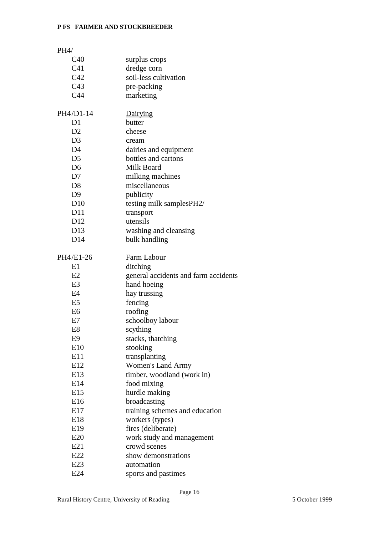| PH4/                             |                                              |
|----------------------------------|----------------------------------------------|
| C40                              | surplus crops                                |
| C <sub>41</sub>                  | dredge corn                                  |
| C42                              | soil-less cultivation                        |
| C43                              | pre-packing                                  |
| C44                              | marketing                                    |
|                                  |                                              |
| PH4/D1-14                        | Dairying                                     |
| D1                               | butter                                       |
| D2                               | cheese                                       |
| D <sub>3</sub><br>D <sub>4</sub> | cream                                        |
| D <sub>5</sub>                   | dairies and equipment<br>bottles and cartons |
| D <sub>6</sub>                   | Milk Board                                   |
| D7                               |                                              |
| D <sub>8</sub>                   | milking machines<br>miscellaneous            |
| D <sub>9</sub>                   |                                              |
| D10                              | publicity<br>testing milk samplesPH2/        |
| D11                              | transport                                    |
| D <sub>12</sub>                  | utensils                                     |
| D <sub>13</sub>                  | washing and cleansing                        |
| D14                              | bulk handling                                |
|                                  |                                              |
| PH4/E1-26                        | <b>Farm Labour</b>                           |
| E1                               | ditching                                     |
| E2                               | general accidents and farm accidents         |
| E <sub>3</sub>                   | hand hoeing                                  |
| E4                               | hay trussing                                 |
| E <sub>5</sub>                   | fencing                                      |
| E <sub>6</sub>                   | roofing                                      |
| E7                               | schoolboy labour                             |
| E8                               | scything                                     |
| E9                               | stacks, thatching                            |
| E10                              | stooking                                     |
| E11                              | transplanting                                |
| E12                              | <b>Women's Land Army</b>                     |
| E13                              | timber, woodland (work in)                   |
| E14                              | food mixing                                  |
| E15                              | hurdle making                                |
| E16                              | broadcasting                                 |
| E17                              | training schemes and education               |
| E18                              | workers (types)                              |
| E <sub>19</sub>                  | fires (deliberate)                           |
| E20                              | work study and management                    |
| E21                              | crowd scenes                                 |
| E22                              | show demonstrations                          |
| E23                              | automation                                   |
| E24                              | sports and pastimes                          |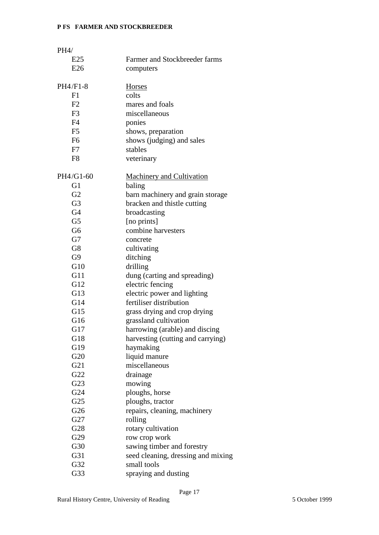| PH4/           |                                    |
|----------------|------------------------------------|
| E25            | Farmer and Stockbreeder farms      |
| E26            | computers                          |
|                |                                    |
| PH4/F1-8       | Horses                             |
| F1             | colts                              |
| F <sub>2</sub> | mares and foals                    |
| F <sub>3</sub> | miscellaneous                      |
| F <sub>4</sub> | ponies                             |
| F <sub>5</sub> | shows, preparation                 |
| F <sub>6</sub> | shows (judging) and sales          |
| F7             | stables                            |
| F8             | veterinary                         |
|                |                                    |
| PH4/G1-60      | <b>Machinery and Cultivation</b>   |
| G <sub>1</sub> | baling                             |
| G2             | barn machinery and grain storage   |
| G <sub>3</sub> | bracken and thistle cutting        |
| G <sub>4</sub> |                                    |
| G <sub>5</sub> | broadcasting<br>[no prints]        |
| G <sub>6</sub> | combine harvesters                 |
| G7             |                                    |
|                | concrete                           |
| G8             | cultivating                        |
| G9             | ditching                           |
| G10            | drilling                           |
| G11            | dung (carting and spreading)       |
| G12            | electric fencing                   |
| G13            | electric power and lighting        |
| G14            | fertiliser distribution            |
| G15            | grass drying and crop drying       |
| G16            | grassland cultivation              |
| G17            | harrowing (arable) and discing     |
| G18            | harvesting (cutting and carrying)  |
| G19            | haymaking                          |
| G20            | liquid manure                      |
| G21            | miscellaneous                      |
| G22            | drainage                           |
| G23            | mowing                             |
| G24            | ploughs, horse                     |
| G25            | ploughs, tractor                   |
| G26            | repairs, cleaning, machinery       |
| G27            | rolling                            |
| G28            | rotary cultivation                 |
| G29            | row crop work                      |
| G30            | sawing timber and forestry         |
| G31            | seed cleaning, dressing and mixing |
| G32            | small tools                        |
| G33            | spraying and dusting               |
|                |                                    |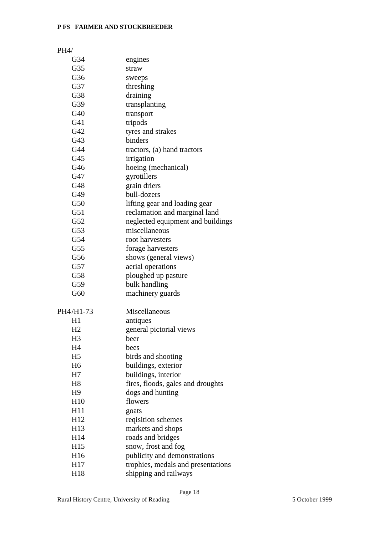# PH4/

| G34             | engines                            |
|-----------------|------------------------------------|
| G35             | straw                              |
| G36             | sweeps                             |
| G37             | threshing                          |
| G38             | draining                           |
| G39             | transplanting                      |
| G40             | transport                          |
| G41             | tripods                            |
| G42             | tyres and strakes                  |
| G43             | binders                            |
| G44             | tractors, (a) hand tractors        |
| G45             | irrigation                         |
| G46             | hoeing (mechanical)                |
| G47             | gyrotillers                        |
| G48             | grain driers                       |
| G49             | bull-dozers                        |
| G50             | lifting gear and loading gear      |
| G51             | reclamation and marginal land      |
| G52             | neglected equipment and buildings  |
| G53             | miscellaneous                      |
| G54             | root harvesters                    |
| G <sub>55</sub> | forage harvesters                  |
| G56             | shows (general views)              |
| G57             | aerial operations                  |
| G58             | ploughed up pasture                |
| G59             | bulk handling                      |
| G60             | machinery guards                   |
|                 |                                    |
| PH4/H1-73       | <b>Miscellaneous</b>               |
| H1              | antiques                           |
| H2              | general pictorial views            |
| H3              | beer                               |
| H4              | bees                               |
| H <sub>5</sub>  | birds and shooting                 |
| H <sub>6</sub>  | buildings, exterior                |
| H7              | buildings, interior                |
| H <sub>8</sub>  | fires, floods, gales and droughts  |
| H <sub>9</sub>  | dogs and hunting                   |
| H10             | flowers                            |
| H11             | goats                              |
| H12             | reqisition schemes                 |
| H <sub>13</sub> | markets and shops                  |
| H14             | roads and bridges                  |
| H15             | snow, frost and fog                |
| H <sub>16</sub> | publicity and demonstrations       |
| H17             | trophies, medals and presentations |
| H18             | shipping and railways              |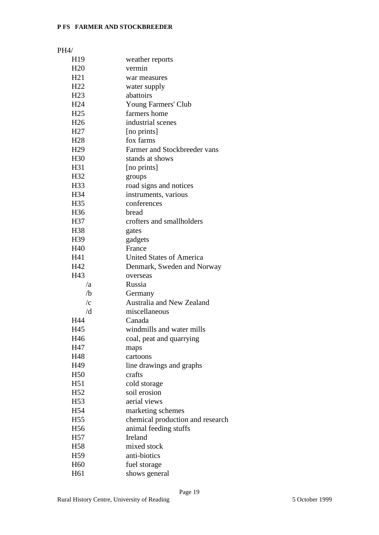| H19                 | weather reports                  |
|---------------------|----------------------------------|
| H20                 | vermin                           |
| H21                 | war measures                     |
| H22                 | water supply                     |
| H <sub>23</sub>     | abattoirs                        |
| H <sub>24</sub>     | Young Farmers' Club              |
| H <sub>25</sub>     | farmers home                     |
| H <sub>26</sub>     | industrial scenes                |
| H <sub>27</sub>     | [no prints]                      |
| H <sub>28</sub>     | fox farms                        |
| H <sub>29</sub>     | Farmer and Stockbreeder vans     |
| H <sub>30</sub>     | stands at shows                  |
| H31                 | [no prints]                      |
| H32                 | groups                           |
| H33                 | road signs and notices           |
| H34                 | instruments, various             |
| H <sub>35</sub>     | conferences                      |
| H <sub>36</sub>     | bread                            |
| H37                 | crofters and smallholders        |
| H <sub>38</sub>     | gates                            |
| H39                 | gadgets                          |
| H40                 | France                           |
| H41                 | <b>United States of America</b>  |
| H42                 |                                  |
| H43                 | Denmark, Sweden and Norway       |
| /a                  | overseas<br>Russia               |
| /b                  | Germany                          |
| $\sqrt{\mathrm{c}}$ | <b>Australia and New Zealand</b> |
| /d                  | miscellaneous                    |
| H44                 | Canada                           |
| H45                 | windmills and water mills        |
|                     |                                  |
| H46                 | coal, peat and quarrying         |
| H47                 | maps                             |
| H48                 | cartoons                         |
| H49                 | line drawings and graphs         |
| H <sub>50</sub>     | crafts                           |
| H51                 | cold storage                     |
| H <sub>52</sub>     | soil erosion<br>aerial views     |
| H <sub>53</sub>     |                                  |
| H54                 | marketing schemes                |
| H <sub>55</sub>     | chemical production and research |
| H <sub>56</sub>     | animal feeding stuffs            |
| H <sub>57</sub>     | Ireland                          |
| H <sub>58</sub>     | mixed stock                      |
| H <sub>59</sub>     | anti-biotics                     |
| H <sub>60</sub>     | fuel storage                     |
| H61                 | shows general                    |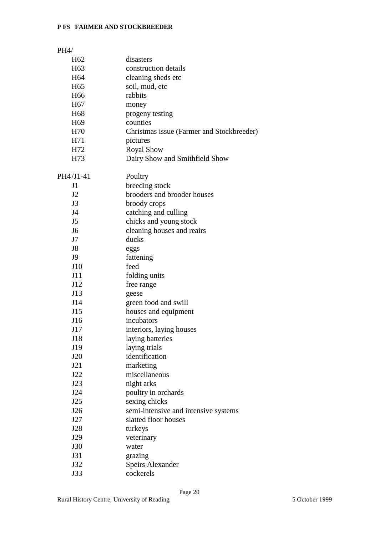# PH4/ H62 disasters H63 construction details H64 cleaning sheds etc H65 soil, mud, etc H66 rabbits H67 money H68 progeny testing H69 counties H70 Christmas issue (Farmer and Stockbreeder) H<sub>71</sub> pictures H72 Royal Show H73 Dairy Show and Smithfield Show PH4/J1-41 Poultry J1 breeding stock J2 brooders and brooder houses J3 broody crops J4 catching and culling J5 chicks and young stock J6 cleaning houses and reairs J7 ducks J8 eggs J9 fattening J10 feed J11 folding units J12 free range J13 geese J14 green food and swill J15 houses and equipment J16 incubators J17 interiors, laying houses J18 laying batteries J19 laying trials J20 identification J21 marketing J22 miscellaneous J23 night arks J24 poultry in orchards J25 sexing chicks J26 semi-intensive and intensive systems J27 slatted floor houses J28 turkeys J29 veterinary J30 water J31 grazing J32 Speirs Alexander

J33 cockerels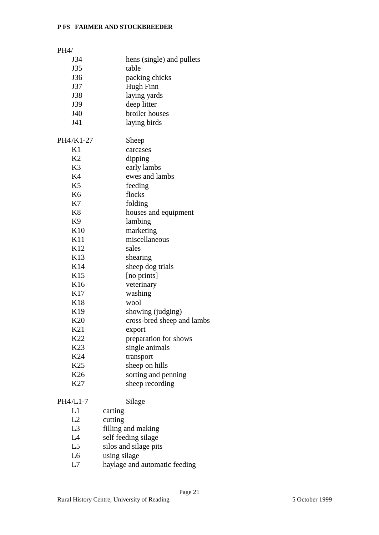| PH4/            |                            |
|-----------------|----------------------------|
| J34             | hens (single) and pullets  |
| J35             | table                      |
| J36             | packing chicks             |
| J37             | Hugh Finn                  |
| <b>J38</b>      | laying yards               |
| J39             | deep litter                |
| J40             | broiler houses             |
| J41             | laying birds               |
|                 |                            |
| PH4/K1-27       | <b>Sheep</b>               |
| K1              | carcases                   |
| K <sub>2</sub>  | dipping                    |
| K <sub>3</sub>  | early lambs                |
| K4              | ewes and lambs             |
| K <sub>5</sub>  | feeding                    |
| K <sub>6</sub>  | flocks                     |
| K7              | folding                    |
| K <sup>8</sup>  | houses and equipment       |
| K <sub>9</sub>  | lambing                    |
| K10             | marketing                  |
| K11             | miscellaneous              |
| K <sub>12</sub> | sales                      |
| K13             | shearing                   |
| K14             | sheep dog trials           |
| K15             | [no prints]                |
| K16             | veterinary                 |
| K17             | washing                    |
| K18             | wool                       |
| K19             | showing (judging)          |
| K20             | cross-bred sheep and lambs |
| K21             | export                     |
| K22             | preparation for shows      |
| K23             | single animals             |
| K24             | transport                  |
| K <sub>25</sub> | sheep on hills             |
| K26             | sorting and penning        |
| K27             | sheep recording            |
| PH4/L1-7        | <b>Silage</b>              |
| L1              | carting                    |
| L2              | cutting                    |
| L <sub>3</sub>  | filling and making         |
| L4              | self feeding silage        |
| L5              | silos and silage pits      |
| L <sub>6</sub>  | using silage               |
|                 |                            |

L7 haylage and automatic feeding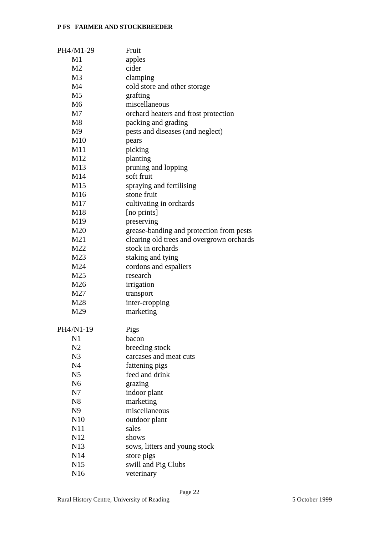| PH4/M1-29       | Fruit                                     |
|-----------------|-------------------------------------------|
| M1              | apples                                    |
| M <sub>2</sub>  | cider                                     |
| M <sub>3</sub>  | clamping                                  |
| M <sub>4</sub>  | cold store and other storage              |
| M <sub>5</sub>  | grafting                                  |
| M <sub>6</sub>  | miscellaneous                             |
| M <sub>7</sub>  | orchard heaters and frost protection      |
| M8              | packing and grading                       |
| M <sub>9</sub>  | pests and diseases (and neglect)          |
| M10             | pears                                     |
| M11             | picking                                   |
| M12             | planting                                  |
| M13             | pruning and lopping                       |
| M14             | soft fruit                                |
| M15             | spraying and fertilising                  |
| M16             | stone fruit                               |
| M17             |                                           |
| M18             | cultivating in orchards<br>[no prints]    |
| M19             |                                           |
|                 | preserving                                |
| M20             | grease-banding and protection from pests  |
| M21             | clearing old trees and overgrown orchards |
| M22             | stock in orchards                         |
| M23             | staking and tying                         |
| M24             | cordons and espaliers                     |
| M25             | research                                  |
| M26             | irrigation                                |
| M27             | transport                                 |
| M28             | inter-cropping                            |
| M29             | marketing                                 |
| PH4/N1-19       | <b>Pigs</b>                               |
| N1              | bacon                                     |
| N2              | breeding stock                            |
| N <sub>3</sub>  | carcases and meat cuts                    |
| N <sub>4</sub>  | fattening pigs                            |
| N <sub>5</sub>  | feed and drink                            |
| N <sub>6</sub>  | grazing                                   |
| N7              | indoor plant                              |
| N <sub>8</sub>  | marketing                                 |
| N <sub>9</sub>  | miscellaneous                             |
| N10             | outdoor plant                             |
| N11             | sales                                     |
| N12             | shows                                     |
| N13             | sows, litters and young stock             |
| N <sub>14</sub> | store pigs                                |
| N <sub>15</sub> | swill and Pig Clubs                       |
| N <sub>16</sub> | veterinary                                |
|                 |                                           |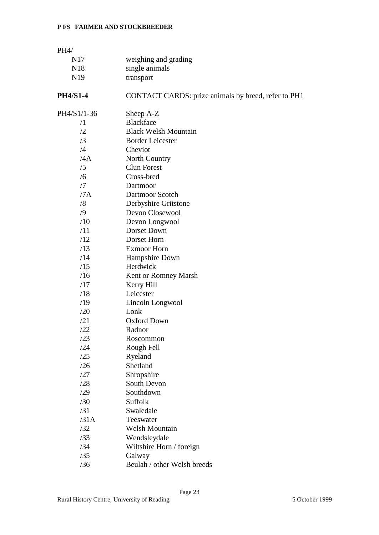| PH4/            |                                                     |
|-----------------|-----------------------------------------------------|
| N <sub>17</sub> | weighing and grading                                |
| N18             | single animals                                      |
| N <sub>19</sub> | transport                                           |
| <b>PH4/S1-4</b> | CONTACT CARDS: prize animals by breed, refer to PH1 |
| PH4/S1/1-36     | Sheep $A-Z$                                         |
| $\sqrt{1}$      | <b>Blackface</b>                                    |
| /2              | <b>Black Welsh Mountain</b>                         |
| /3              | <b>Border Leicester</b>                             |
| /4              | Cheviot                                             |
| /4A             | North Country                                       |
| /5              | <b>Clun Forest</b>                                  |
| /6              | Cross-bred                                          |
| /7              | Dartmoor                                            |
| /7A             | Dartmoor Scotch                                     |
| /8              | Derbyshire Gritstone                                |
| $\sqrt{9}$      | Devon Closewool                                     |
| /10             | Devon Longwool                                      |
| /11             | Dorset Down                                         |
| /12             | Dorset Horn                                         |
| /13             | <b>Exmoor Horn</b>                                  |
| /14             | Hampshire Down                                      |
| /15             | Herdwick                                            |
| /16             | Kent or Romney Marsh                                |
| /17             | Kerry Hill                                          |
| /18             | Leicester                                           |
| /19             | Lincoln Longwool                                    |
| /20             | Lonk                                                |
| /21             | <b>Oxford Down</b>                                  |
| /22             | Radnor                                              |
| /23             | Roscommon                                           |
| /24             | Rough Fell                                          |
| /25             | Ryeland<br>Shetland                                 |
| /26             |                                                     |
| /27             | Shropshire                                          |
| /28             | South Devon                                         |
| /29             | Southdown                                           |
| /30             | Suffolk<br>Swaledale                                |
| /31<br>/31A     |                                                     |
| /32             | Teeswater<br><b>Welsh Mountain</b>                  |
| /33             |                                                     |
| /34             | Wendsleydale                                        |
| /35             | Wiltshire Horn / foreign                            |
|                 | Galway<br>Beulah / other Welsh breeds               |
| /36             |                                                     |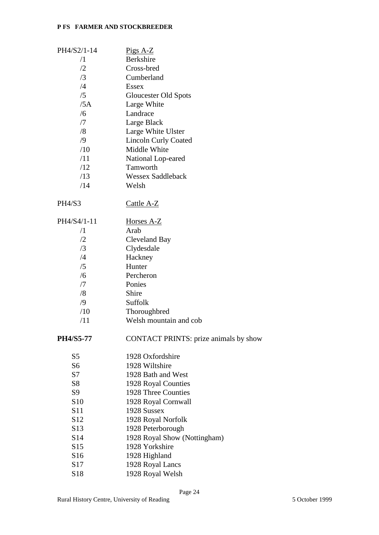| PH4/S2/1-14      | $Pigs A-Z$                                   |
|------------------|----------------------------------------------|
| $\sqrt{1}$       | <b>Berkshire</b>                             |
| /2               | Cross-bred                                   |
| /3               | Cumberland                                   |
| /4               | <b>Essex</b>                                 |
| /5               | Gloucester Old Spots                         |
| /5A              | Large White                                  |
| /6               | Landrace                                     |
| /7               | Large Black                                  |
| /8               | Large White Ulster                           |
| $\sqrt{9}$       | <b>Lincoln Curly Coated</b>                  |
| /10              | Middle White                                 |
| /11              | National Lop-eared                           |
| /12              | Tamworth                                     |
| /13              | <b>Wessex Saddleback</b>                     |
| /14              | Welsh                                        |
|                  |                                              |
| <b>PH4/S3</b>    | Cattle A-Z                                   |
| PH4/S4/1-11      | Horses A-Z                                   |
| $\sqrt{1}$       | Arab                                         |
| /2               | <b>Cleveland Bay</b>                         |
| /3               | Clydesdale                                   |
| $\sqrt{4}$       | Hackney                                      |
| /5               | Hunter                                       |
| /6               | Percheron                                    |
| /7               | Ponies                                       |
| /8               | Shire                                        |
| $\sqrt{9}$       | Suffolk                                      |
| /10              | Thoroughbred                                 |
| /11              | Welsh mountain and cob                       |
| <b>PH4/S5-77</b> | <b>CONTACT PRINTS: prize animals by show</b> |
| S <sub>5</sub>   | 1928 Oxfordshire                             |
| S <sub>6</sub>   | 1928 Wiltshire                               |
| S7               | 1928 Bath and West                           |
| S <sub>8</sub>   | 1928 Royal Counties                          |
| S <sub>9</sub>   | 1928 Three Counties                          |
| S <sub>10</sub>  | 1928 Royal Cornwall                          |
| S <sub>11</sub>  | 1928 Sussex                                  |
| S <sub>12</sub>  | 1928 Royal Norfolk                           |
| S <sub>13</sub>  | 1928 Peterborough                            |
| S <sub>14</sub>  | 1928 Royal Show (Nottingham)                 |
| S15              | 1928 Yorkshire                               |
| S <sub>16</sub>  | 1928 Highland                                |
| S <sub>17</sub>  | 1928 Royal Lancs                             |
| S18              | 1928 Royal Welsh                             |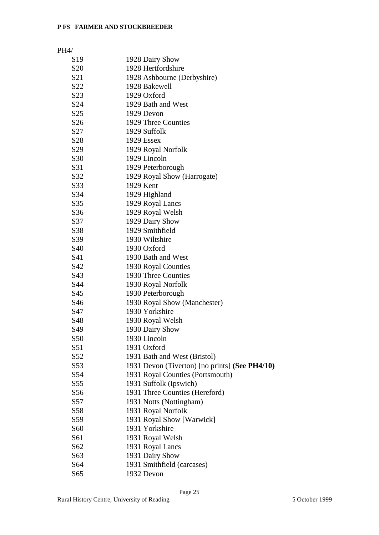| S <sub>19</sub>  | 1928 Dairy Show                                |
|------------------|------------------------------------------------|
| S <sub>20</sub>  | 1928 Hertfordshire                             |
| S <sub>21</sub>  | 1928 Ashbourne (Derbyshire)                    |
| S <sub>22</sub>  | 1928 Bakewell                                  |
| S <sub>2</sub> 3 | 1929 Oxford                                    |
| S <sub>24</sub>  | 1929 Bath and West                             |
| S <sub>25</sub>  | 1929 Devon                                     |
| S <sub>26</sub>  | 1929 Three Counties                            |
| S27              | 1929 Suffolk                                   |
| S <sub>28</sub>  | 1929 Essex                                     |
| S <sub>29</sub>  | 1929 Royal Norfolk                             |
| S <sub>30</sub>  | 1929 Lincoln                                   |
| S31              | 1929 Peterborough                              |
| S32              | 1929 Royal Show (Harrogate)                    |
| S33              | 1929 Kent                                      |
| S34              | 1929 Highland                                  |
| S35              | 1929 Royal Lancs                               |
| S <sub>36</sub>  | 1929 Royal Welsh                               |
| S37              | 1929 Dairy Show                                |
| S38              | 1929 Smithfield                                |
| S39              | 1930 Wiltshire                                 |
| S <sub>40</sub>  | 1930 Oxford                                    |
| S41              | 1930 Bath and West                             |
| S42              | 1930 Royal Counties                            |
| S43              | 1930 Three Counties                            |
| S44              | 1930 Royal Norfolk                             |
| S45              | 1930 Peterborough                              |
| S <sub>46</sub>  | 1930 Royal Show (Manchester)                   |
| S47              | 1930 Yorkshire                                 |
| S48              | 1930 Royal Welsh                               |
| S49              | 1930 Dairy Show                                |
| S <sub>50</sub>  | 1930 Lincoln                                   |
| S51              | 1931 Oxford                                    |
| S <sub>52</sub>  | 1931 Bath and West (Bristol)                   |
| S <sub>53</sub>  | 1931 Devon (Tiverton) [no prints] (See PH4/10) |
| S <sub>54</sub>  | 1931 Royal Counties (Portsmouth)               |
| S <sub>55</sub>  | 1931 Suffolk (Ipswich)                         |
| S <sub>56</sub>  | 1931 Three Counties (Hereford)                 |
| S57              | 1931 Notts (Nottingham)                        |
| S <sub>58</sub>  | 1931 Royal Norfolk                             |
| S59              | 1931 Royal Show [Warwick]                      |
| S <sub>60</sub>  | 1931 Yorkshire                                 |
| S61              | 1931 Royal Welsh                               |
| S62              | 1931 Royal Lancs                               |
| S63              | 1931 Dairy Show                                |
| S64              | 1931 Smithfield (carcases)                     |
| S65              | 1932 Devon                                     |